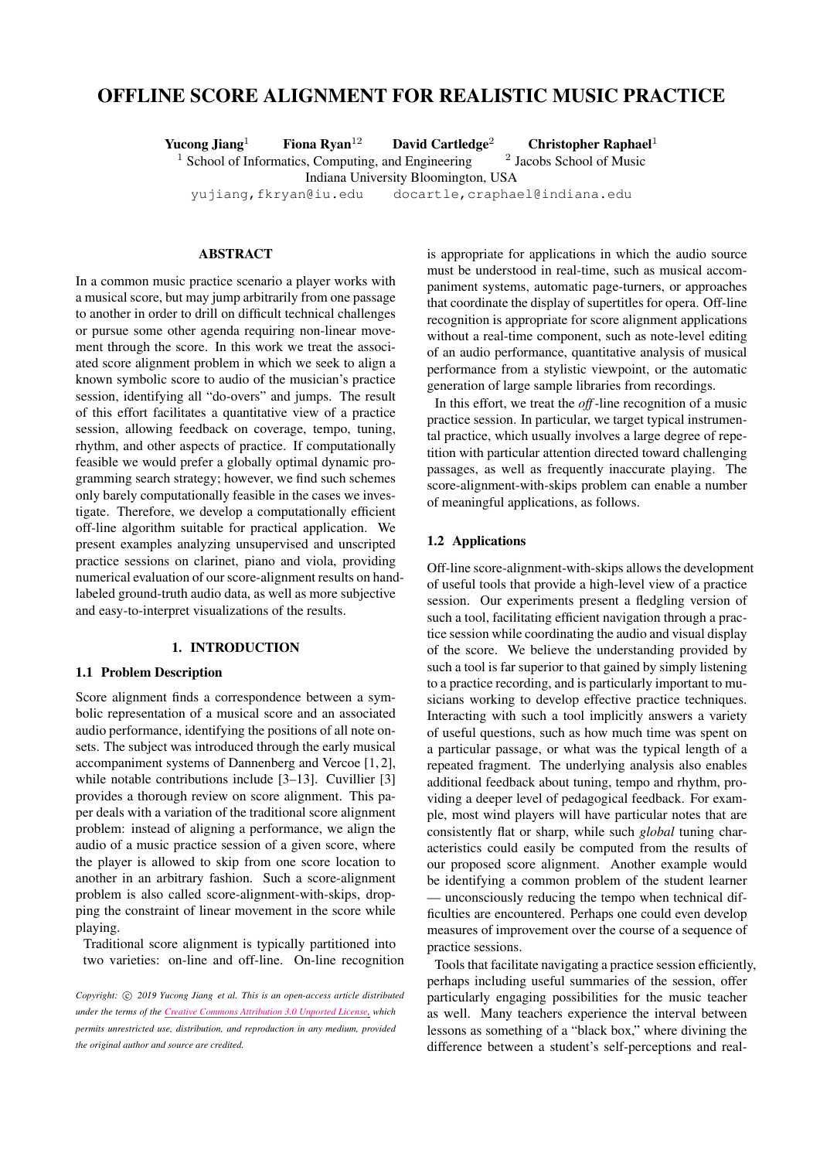# OFFLINE SCORE ALIGNMENT FOR REALISTIC MUSIC PRACTICE

Yucong Jiang<sup>1</sup> Fiona Ryan<sup>12</sup> David Cartledge<sup>2</sup> Christopher Raphael<sup>1</sup>  $1$  School of Informatics, Computing, and Engineering <sup>2</sup> Jacobs School of Music Indiana University Bloomington, USA [yujiang](mailto:yujiang@iu.edu)[,fkryan@iu.edu](mailto:fkryan@iu.edu) [docartle](mailto:docartle@indiana.edu)[,craphael@indiana.edu](mailto:craphael@indiana.edu)

# ABSTRACT

In a common music practice scenario a player works with a musical score, but may jump arbitrarily from one passage to another in order to drill on difficult technical challenges or pursue some other agenda requiring non-linear movement through the score. In this work we treat the associated score alignment problem in which we seek to align a known symbolic score to audio of the musician's practice session, identifying all "do-overs" and jumps. The result of this effort facilitates a quantitative view of a practice session, allowing feedback on coverage, tempo, tuning, rhythm, and other aspects of practice. If computationally feasible we would prefer a globally optimal dynamic programming search strategy; however, we find such schemes only barely computationally feasible in the cases we investigate. Therefore, we develop a computationally efficient off-line algorithm suitable for practical application. We present examples analyzing unsupervised and unscripted practice sessions on clarinet, piano and viola, providing numerical evaluation of ourscore-alignment results on handlabeled ground-truth audio data, as well as more subjective and easy-to-interpret visualizations of the results.

# 1. INTRODUCTION

### 1.1 Problem Description

Score alignment finds a correspondence between a symbolic representation of a musical score and an associated audio performance, identifying the positions of all note onsets. The subject was introduced through the early musical accompaniment systems of Dannenberg and Vercoe [\[1,](#page-6-0) [2\]](#page-6-1), while notable contributions include [\[3](#page-6-2)[–13\]](#page-6-3). Cuvillier [\[3\]](#page-6-2) provides a thorough review on score alignment. This paper deals with a variation of the traditional score alignment problem: instead of aligning a performance, we align the audio of a music practice session of a given score, where the player is allowed to skip from one score location to another in an arbitrary fashion. Such a score-alignment problem is also called score-alignment-with-skips, dropping the constraint of linear movement in the score while playing.

Traditional score alignment is typically partitioned into two varieties: on-line and off-line. On-line recognition

*Copyright:*  $\circled{c}$  *2019 Yucong Jiang et al. This is an open-access article distributed under the terms of the Creative Commons [Attribution](http://creativecommons.org/licenses/by/3.0/) 3.0 Unported License, which permits unrestricted use, distribution, and reproduction in any medium, provided the original author and source are credited.*

is appropriate for applications in which the audio source must be understood in real-time, such as musical accompaniment systems, automatic page-turners, or approaches that coordinate the display of supertitles for opera. Off-line recognition is appropriate for score alignment applications without a real-time component, such as note-level editing of an audio performance, quantitative analysis of musical performance from a stylistic viewpoint, or the automatic generation of large sample libraries from recordings.

In this effort, we treat the *off*-line recognition of a music practice session. In particular, we target typical instrumental practice, which usually involves a large degree of repetition with particular attention directed toward challenging passages, as well as frequently inaccurate playing. The score-alignment-with-skips problem can enable a number of meaningful applications, as follows.

### 1.2 Applications

Off-line score-alignment-with-skips allows the development of useful tools that provide a high-level view of a practice session. Our experiments present a fledgling version of such a tool, facilitating efficient navigation through a practice session while coordinating the audio and visual display of the score. We believe the understanding provided by such a tool is far superior to that gained by simply listening to a practice recording, and is particularly important to musicians working to develop effective practice techniques. Interacting with such a tool implicitly answers a variety of useful questions, such as how much time was spent on a particular passage, or what was the typical length of a repeated fragment. The underlying analysis also enables additional feedback about tuning, tempo and rhythm, providing a deeper level of pedagogical feedback. For example, most wind players will have particular notes that are consistently flat or sharp, while such *global* tuning characteristics could easily be computed from the results of our proposed score alignment. Another example would be identifying a common problem of the student learner — unconsciously reducing the tempo when technical difficulties are encountered. Perhaps one could even develop measures of improvement over the course of a sequence of practice sessions.

Tools that facilitate navigating a practice session efficiently, perhaps including useful summaries of the session, offer particularly engaging possibilities for the music teacher as well. Many teachers experience the interval between lessons as something of a "black box," where divining the difference between a student's self-perceptions and real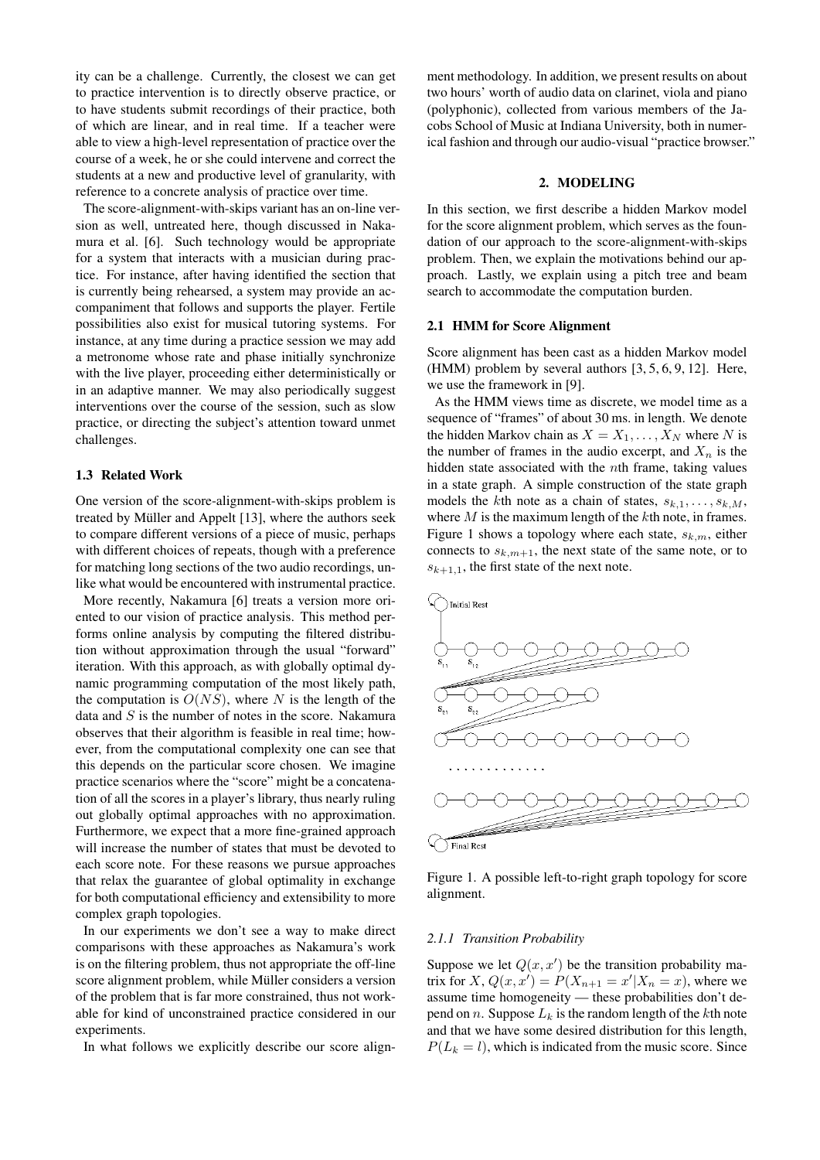ity can be a challenge. Currently, the closest we can get to practice intervention is to directly observe practice, or to have students submit recordings of their practice, both of which are linear, and in real time. If a teacher were able to view a high-level representation of practice over the course of a week, he or she could intervene and correct the students at a new and productive level of granularity, with reference to a concrete analysis of practice over time.

The score-alignment-with-skips variant has an on-line version as well, untreated here, though discussed in Nakamura et al. [\[6\]](#page-6-4). Such technology would be appropriate for a system that interacts with a musician during practice. For instance, after having identified the section that is currently being rehearsed, a system may provide an accompaniment that follows and supports the player. Fertile possibilities also exist for musical tutoring systems. For instance, at any time during a practice session we may add a metronome whose rate and phase initially synchronize with the live player, proceeding either deterministically or in an adaptive manner. We may also periodically suggest interventions over the course of the session, such as slow practice, or directing the subject's attention toward unmet challenges.

#### 1.3 Related Work

One version of the score-alignment-with-skips problem is treated by Müller and Appelt [[13\]](#page-6-3), where the authors seek to compare different versions of a piece of music, perhaps with different choices of repeats, though with a preference for matching long sections of the two audio recordings, unlike what would be encountered with instrumental practice.

More recently, Nakamura [\[6\]](#page-6-4) treats a version more oriented to our vision of practice analysis. This method performs online analysis by computing the filtered distribution without approximation through the usual "forward" iteration. With this approach, as with globally optimal dynamic programming computation of the most likely path, the computation is  $O(NS)$ , where N is the length of the data and  $S$  is the number of notes in the score. Nakamura observes that their algorithm is feasible in real time; however, from the computational complexity one can see that this depends on the particular score chosen. We imagine practice scenarios where the "score" might be a concatenation of all the scores in a player's library, thus nearly ruling out globally optimal approaches with no approximation. Furthermore, we expect that a more fine-grained approach will increase the number of states that must be devoted to each score note. For these reasons we pursue approaches that relax the guarantee of global optimality in exchange for both computational efficiency and extensibility to more complex graph topologies.

In our experiments we don't see a way to make direct comparisons with these approaches as Nakamura's work is on the filtering problem, thus not appropriate the off-line score alignment problem, while Müller considers a version of the problem that is far more constrained, thus not workable for kind of unconstrained practice considered in our experiments.

In what follows we explicitly describe our score align-

ment methodology. In addition, we present results on about two hours' worth of audio data on clarinet, viola and piano (polyphonic), collected from various members of the Jacobs School of Music at Indiana University, both in numerical fashion and through our audio-visual "practice browser."

# 2. MODELING

In this section, we first describe a hidden Markov model for the score alignment problem, which serves as the foundation of our approach to the score-alignment-with-skips problem. Then, we explain the motivations behind our approach. Lastly, we explain using a pitch tree and beam search to accommodate the computation burden.

### 2.1 HMM for Score Alignment

Score alignment has been cast as a hidden Markov model (HMM) problem by several authors [\[3,](#page-6-2) [5,](#page-6-5) [6,](#page-6-4) [9,](#page-6-6) [12\]](#page-6-7). Here, we use the framework in [\[9\]](#page-6-6).

As the HMM views time as discrete, we model time as a sequence of "frames" of about 30 ms. in length. We denote the hidden Markov chain as  $X = X_1, \ldots, X_N$  where N is the number of frames in the audio excerpt, and  $X_n$  is the hidden state associated with the nth frame, taking values in a state graph. A simple construction of the state graph models the kth note as a chain of states,  $s_{k,1}, \ldots, s_{k,M}$ , where  $M$  is the maximum length of the  $k$ th note, in frames. Figure [1](#page-1-0) shows a topology where each state,  $s_{k,m}$ , either connects to  $s_{k,m+1}$ , the next state of the same note, or to  $s_{k+1,1}$ , the first state of the next note.

<span id="page-1-0"></span>

Figure 1. A possible left-to-right graph topology for score alignment.

#### *2.1.1 Transition Probability*

Suppose we let  $Q(x, x')$  be the transition probability matrix for X,  $Q(x, x') = P(X_{n+1} = x'|X_n = x)$ , where we assume time homogeneity — these probabilities don't depend on *n*. Suppose  $L_k$  is the random length of the kth note and that we have some desired distribution for this length,  $P(L_k = l)$ , which is indicated from the music score. Since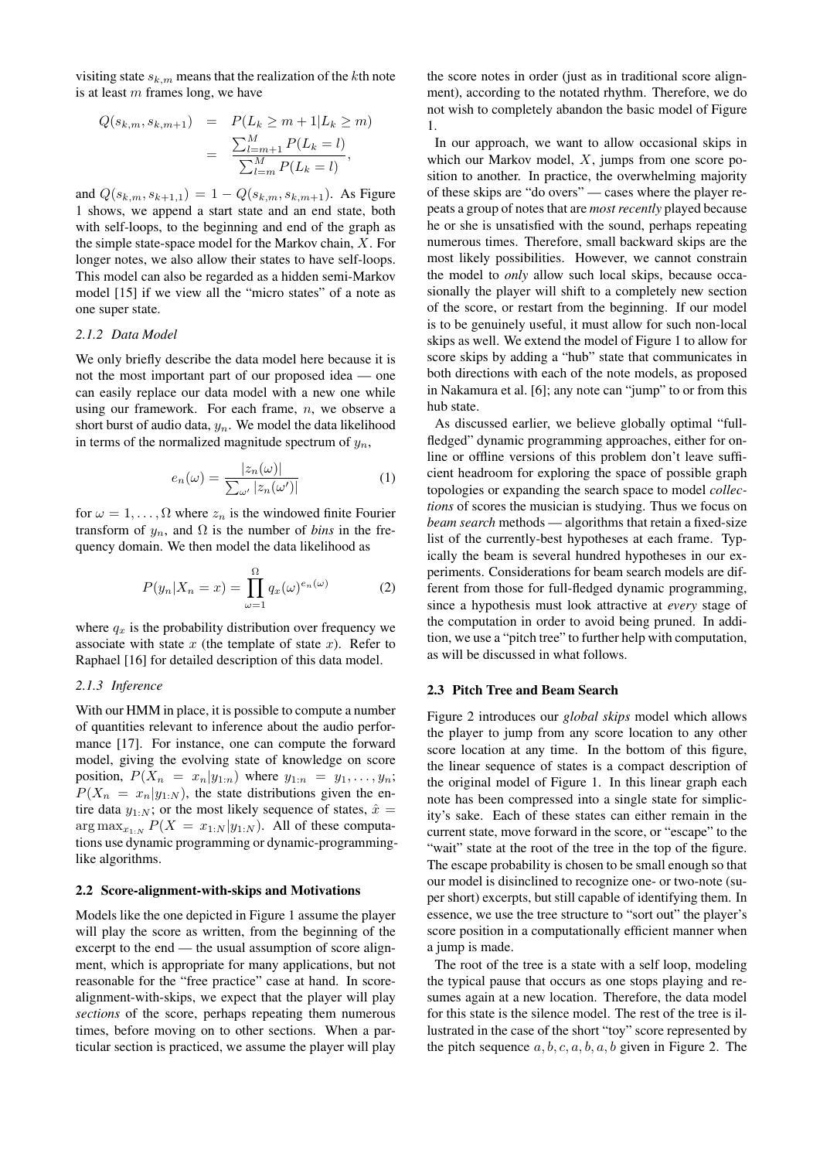visiting state  $s_{k,m}$  means that the realization of the kth note is at least  $m$  frames long, we have

$$
Q(s_{k,m}, s_{k,m+1}) = P(L_k \ge m + 1 | L_k \ge m)
$$
  
= 
$$
\frac{\sum_{l=m+1}^{M} P(L_k = l)}{\sum_{l=m}^{M} P(L_k = l)},
$$

and  $Q(s_{k,m}, s_{k+1,1}) = 1 - Q(s_{k,m}, s_{k,m+1})$ . As Figure [1](#page-1-0) shows, we append a start state and an end state, both with self-loops, to the beginning and end of the graph as the simple state-space model for the Markov chain, X. For longer notes, we also allow their states to have self-loops. This model can also be regarded as a hidden semi-Markov model [\[15\]](#page-6-8) if we view all the "micro states" of a note as one super state.

#### *2.1.2 Data Model*

We only briefly describe the data model here because it is not the most important part of our proposed idea — one can easily replace our data model with a new one while using our framework. For each frame,  $n$ , we observe a short burst of audio data,  $y_n$ . We model the data likelihood in terms of the normalized magnitude spectrum of  $y_n$ ,

$$
e_n(\omega) = \frac{|z_n(\omega)|}{\sum_{\omega'} |z_n(\omega')|} \tag{1}
$$

for  $\omega = 1, \ldots, \Omega$  where  $z_n$  is the windowed finite Fourier transform of  $y_n$ , and  $\Omega$  is the number of *bins* in the frequency domain. We then model the data likelihood as

$$
P(y_n|X_n = x) = \prod_{\omega=1}^{\Omega} q_x(\omega)^{e_n(\omega)} \tag{2}
$$

where  $q_x$  is the probability distribution over frequency we associate with state x (the template of state x). Refer to Raphael [\[16\]](#page-6-9) for detailed description of this data model.

### *2.1.3 Inference*

With our HMM in place, it is possible to compute a number of quantities relevant to inference about the audio performance [\[17\]](#page-6-10). For instance, one can compute the forward model, giving the evolving state of knowledge on score position,  $P(X_n = x_n | y_{1:n})$  where  $y_{1:n} = y_1, \ldots, y_n;$  $P(X_n = x_n | y_{1:N})$ , the state distributions given the entire data  $y_{1:N}$ ; or the most likely sequence of states,  $\hat{x} =$  $\arg \max_{x_{1:N}} P(X = x_{1:N} | y_{1:N})$ . All of these computations use dynamic programming or dynamic-programminglike algorithms.

### 2.2 Score-alignment-with-skips and Motivations

Models like the one depicted in Figure [1](#page-1-0) assume the player will play the score as written, from the beginning of the excerpt to the end — the usual assumption of score alignment, which is appropriate for many applications, but not reasonable for the "free practice" case at hand. In scorealignment-with-skips, we expect that the player will play *sections* of the score, perhaps repeating them numerous times, before moving on to other sections. When a particular section is practiced, we assume the player will play the score notes in order (just as in traditional score alignment), according to the notated rhythm. Therefore, we do not wish to completely abandon the basic model of Figure [1.](#page-1-0)

In our approach, we want to allow occasional skips in which our Markov model,  $X$ , jumps from one score position to another. In practice, the overwhelming majority of these skips are "do overs" — cases where the player repeats a group of notes that are *most recently* played because he or she is unsatisfied with the sound, perhaps repeating numerous times. Therefore, small backward skips are the most likely possibilities. However, we cannot constrain the model to *only* allow such local skips, because occasionally the player will shift to a completely new section of the score, or restart from the beginning. If our model is to be genuinely useful, it must allow for such non-local skips as well. We extend the model of Figure [1](#page-1-0) to allow for score skips by adding a "hub" state that communicates in both directions with each of the note models, as proposed in Nakamura et al. [\[6\]](#page-6-4); any note can "jump" to or from this hub state.

As discussed earlier, we believe globally optimal "fullfledged" dynamic programming approaches, either for online or offline versions of this problem don't leave sufficient headroom for exploring the space of possible graph topologies or expanding the search space to model *collections* of scores the musician is studying. Thus we focus on *beam search* methods — algorithms that retain a fixed-size list of the currently-best hypotheses at each frame. Typically the beam is several hundred hypotheses in our experiments. Considerations for beam search models are different from those for full-fledged dynamic programming, since a hypothesis must look attractive at *every* stage of the computation in order to avoid being pruned. In addition, we use a "pitch tree" to further help with computation, as will be discussed in what follows.

#### 2.3 Pitch Tree and Beam Search

Figure [2](#page-3-0) introduces our *global skips* model which allows the player to jump from any score location to any other score location at any time. In the bottom of this figure, the linear sequence of states is a compact description of the original model of Figure [1.](#page-1-0) In this linear graph each note has been compressed into a single state for simplicity's sake. Each of these states can either remain in the current state, move forward in the score, or "escape" to the "wait" state at the root of the tree in the top of the figure. The escape probability is chosen to be small enough so that our model is disinclined to recognize one- or two-note (super short) excerpts, but still capable of identifying them. In essence, we use the tree structure to "sort out" the player's score position in a computationally efficient manner when a jump is made.

The root of the tree is a state with a self loop, modeling the typical pause that occurs as one stops playing and resumes again at a new location. Therefore, the data model for this state is the silence model. The rest of the tree is illustrated in the case of the short "toy" score represented by the pitch sequence  $a, b, c, a, b, a, b$  given in Figure [2.](#page-3-0) The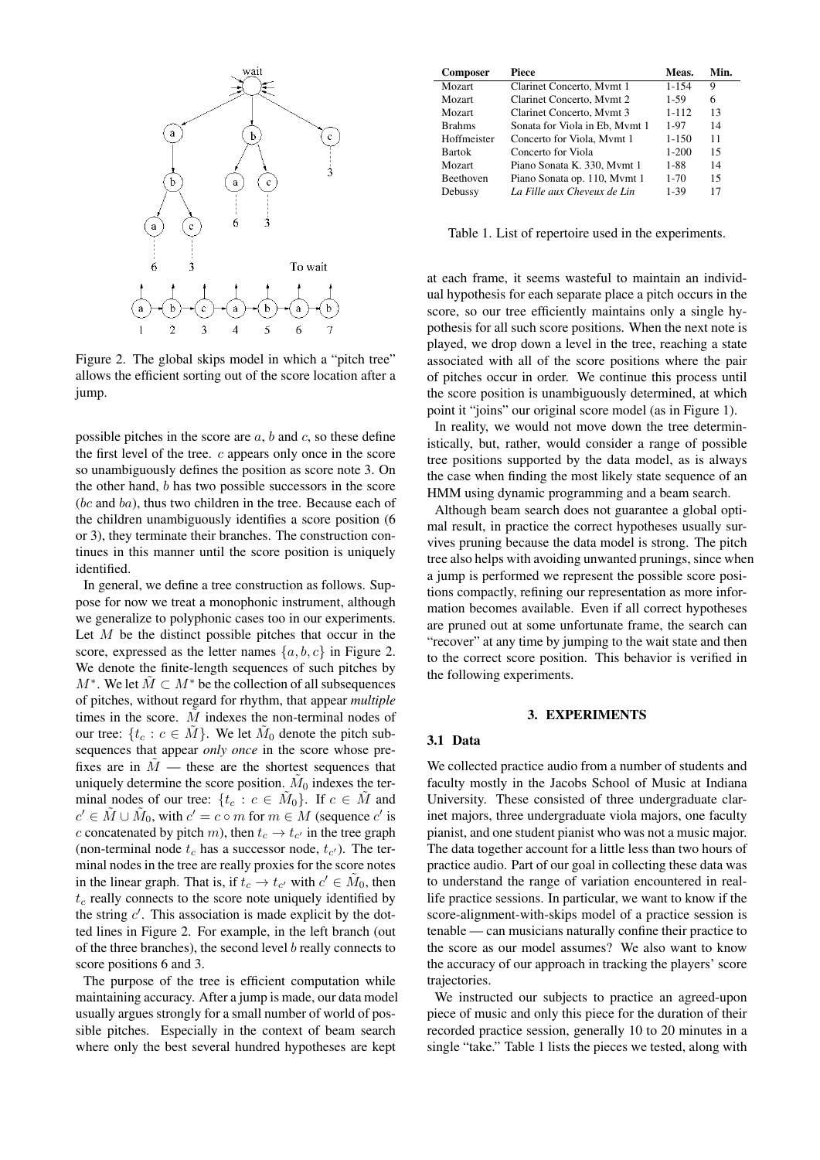<span id="page-3-0"></span>

Figure 2. The global skips model in which a "pitch tree" allows the efficient sorting out of the score location after a jump.

possible pitches in the score are  $a, b$  and  $c$ , so these define the first level of the tree. c appears only once in the score so unambiguously defines the position as score note 3. On the other hand, b has two possible successors in the score (bc and ba), thus two children in the tree. Because each of the children unambiguously identifies a score position (6 or 3), they terminate their branches. The construction continues in this manner until the score position is uniquely identified.

In general, we define a tree construction as follows. Suppose for now we treat a monophonic instrument, although we generalize to polyphonic cases too in our experiments. Let  $M$  be the distinct possible pitches that occur in the score, expressed as the letter names  $\{a, b, c\}$  in Figure [2.](#page-3-0) We denote the finite-length sequences of such pitches by  $M^*$ . We let  $\tilde{M} \subset M^*$  be the collection of all subsequences of pitches, without regard for rhythm, that appear *multiple* times in the score.  $M$  indexes the non-terminal nodes of our tree:  $\{t_c : c \in \tilde{M}\}$ . We let  $\tilde{M}_0$  denote the pitch subsequences that appear *only once* in the score whose prefixes are in  $\tilde{M}$  — these are the shortest sequences that uniquely determine the score position.  $\tilde{M}_0$  indexes the terminal nodes of our tree:  $\{t_c : c \in \tilde{M}_0\}$ . If  $c \in \tilde{M}$  and  $c' \in \tilde{M} \cup \tilde{M}_0$ , with  $c' = c \circ m$  for  $m \in M$  (sequence  $c'$  is c concatenated by pitch m), then  $t_c \rightarrow t_{c'}$  in the tree graph (non-terminal node  $t_c$  has a successor node,  $t_{c'}$ ). The terminal nodes in the tree are really proxies for the score notes in the linear graph. That is, if  $t_c \to t_{c'}$  with  $c' \in \tilde{M}_0$ , then  $t_c$  really connects to the score note uniquely identified by the string  $c'$ . This association is made explicit by the dotted lines in Figure [2.](#page-3-0) For example, in the left branch (out of the three branches), the second level  $b$  really connects to score positions 6 and 3.

The purpose of the tree is efficient computation while maintaining accuracy. After a jump is made, our data model usually argues strongly for a small number of world of possible pitches. Especially in the context of beam search where only the best several hundred hypotheses are kept

<span id="page-3-1"></span>

| <b>Composer</b>  | Piece                          | Meas.      | Min. |
|------------------|--------------------------------|------------|------|
| <b>Mozart</b>    | Clarinet Concerto, Mymt 1      | $1 - 1.54$ | 9    |
| Mozart           | Clarinet Concerto, Mymt 2      | 1-59       | 6    |
| Mozart           | Clarinet Concerto, Mymt 3      | $1 - 112$  | 13   |
| <b>Brahms</b>    | Sonata for Viola in Eb, Mymt 1 | 1-97       | 14   |
| Hoffmeister      | Concerto for Viola, Mymt 1     | $1 - 150$  | 11   |
| <b>Bartok</b>    | Concerto for Viola             | $1 - 200$  | 15   |
| <b>Mozart</b>    | Piano Sonata K. 330, Mymt 1    | 1-88       | 14   |
| <b>Beethoven</b> | Piano Sonata op. 110, Mymt 1   | $1 - 70$   | 15   |
| Debussy          | La Fille aux Cheveux de Lin    | 1-39       | 17   |

Table 1. List of repertoire used in the experiments.

at each frame, it seems wasteful to maintain an individual hypothesis for each separate place a pitch occurs in the score, so our tree efficiently maintains only a single hypothesis for all such score positions. When the next note is played, we drop down a level in the tree, reaching a state associated with all of the score positions where the pair of pitches occur in order. We continue this process until the score position is unambiguously determined, at which point it "joins" our original score model (as in Figure [1\)](#page-1-0).

In reality, we would not move down the tree deterministically, but, rather, would consider a range of possible tree positions supported by the data model, as is always the case when finding the most likely state sequence of an HMM using dynamic programming and a beam search.

Although beam search does not guarantee a global optimal result, in practice the correct hypotheses usually survives pruning because the data model is strong. The pitch tree also helps with avoiding unwanted prunings, since when a jump is performed we represent the possible score positions compactly, refining our representation as more information becomes available. Even if all correct hypotheses are pruned out at some unfortunate frame, the search can "recover" at any time by jumping to the wait state and then to the correct score position. This behavior is verified in the following experiments.

### 3. EXPERIMENTS

#### 3.1 Data

We collected practice audio from a number of students and faculty mostly in the Jacobs School of Music at Indiana University. These consisted of three undergraduate clarinet majors, three undergraduate viola majors, one faculty pianist, and one student pianist who was not a music major. The data together account for a little less than two hours of practice audio. Part of our goal in collecting these data was to understand the range of variation encountered in reallife practice sessions. In particular, we want to know if the score-alignment-with-skips model of a practice session is tenable — can musicians naturally confine their practice to the score as our model assumes? We also want to know the accuracy of our approach in tracking the players' score trajectories.

We instructed our subjects to practice an agreed-upon piece of music and only this piece for the duration of their recorded practice session, generally 10 to 20 minutes in a single "take." Table [1](#page-3-1) lists the pieces we tested, along with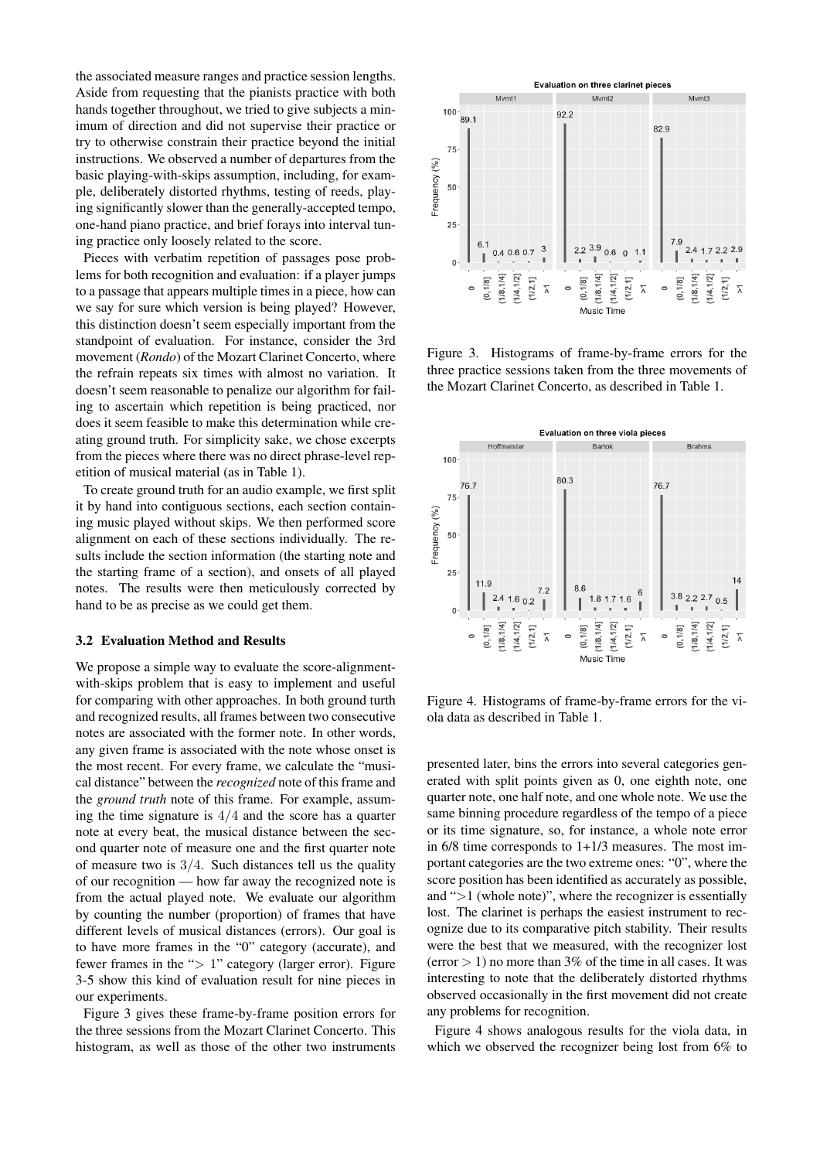the associated measure ranges and practice session lengths. Aside from requesting that the pianists practice with both hands together throughout, we tried to give subjects a minimum of direction and did not supervise their practice or try to otherwise constrain their practice beyond the initial instructions. We observed a number of departures from the basic playing-with-skips assumption, including, for example, deliberately distorted rhythms, testing of reeds, playing significantly slower than the generally-accepted tempo, one-hand piano practice, and brief forays into interval tuning practice only loosely related to the score.

Pieces with verbatim repetition of passages pose problems for both recognition and evaluation: if a player jumps to a passage that appears multiple times in a piece, how can we say for sure which version is being played? However, this distinction doesn't seem especially important from the standpoint of evaluation. For instance, consider the 3rd movement (*Rondo*) of the Mozart Clarinet Concerto, where the refrain repeats six times with almost no variation. It doesn't seem reasonable to penalize our algorithm for failing to ascertain which repetition is being practiced, nor does it seem feasible to make this determination while creating ground truth. For simplicity sake, we chose excerpts from the pieces where there was no direct phrase-level repetition of musical material (as in Table [1\)](#page-3-1).

To create ground truth for an audio example, we first split it by hand into contiguous sections, each section containing music played without skips. We then performed score alignment on each of these sections individually. The results include the section information (the starting note and the starting frame of a section), and onsets of all played notes. The results were then meticulously corrected by hand to be as precise as we could get them.

#### 3.2 Evaluation Method and Results

We propose a simple way to evaluate the score-alignmentwith-skips problem that is easy to implement and useful for comparing with other approaches. In both ground turth and recognized results, all frames between two consecutive notes are associated with the former note. In other words, any given frame is associated with the note whose onset is the most recent. For every frame, we calculate the "musical distance" between the *recognized* note of this frame and the *ground truth* note of this frame. For example, assuming the time signature is  $4/4$  and the score has a quarter note at every beat, the musical distance between the second quarter note of measure one and the first quarter note of measure two is  $3/4$ . Such distances tell us the quality of our recognition — how far away the recognized note is from the actual played note. We evaluate our algorithm by counting the number (proportion) of frames that have different levels of musical distances (errors). Our goal is to have more frames in the "0" category (accurate), and fewer frames in the "> 1" category (larger error). Figure [3](#page-4-0)[-5](#page-5-0) show this kind of evaluation result for nine pieces in our experiments.

Figure [3](#page-4-0) gives these frame-by-frame position errors for the three sessions from the Mozart Clarinet Concerto. This histogram, as well as those of the other two instruments

<span id="page-4-0"></span>

Figure 3. Histograms of frame-by-frame errors for the three practice sessions taken from the three movements of the Mozart Clarinet Concerto, as described in Table [1.](#page-3-1)

<span id="page-4-1"></span>

Figure 4. Histograms of frame-by-frame errors for the viola data as described in Table [1.](#page-3-1)

presented later, bins the errors into several categories generated with split points given as 0, one eighth note, one quarter note, one half note, and one whole note. We use the same binning procedure regardless of the tempo of a piece or its time signature, so, for instance, a whole note error in 6/8 time corresponds to 1+1/3 measures. The most important categories are the two extreme ones: "0", where the score position has been identified as accurately as possible, and ">1 (whole note)", where the recognizer is essentially lost. The clarinet is perhaps the easiest instrument to recognize due to its comparative pitch stability. Their results were the best that we measured, with the recognizer lost  $(error > 1)$  no more than 3% of the time in all cases. It was interesting to note that the deliberately distorted rhythms observed occasionally in the first movement did not create any problems for recognition.

Figure [4](#page-4-1) shows analogous results for the viola data, in which we observed the recognizer being lost from 6% to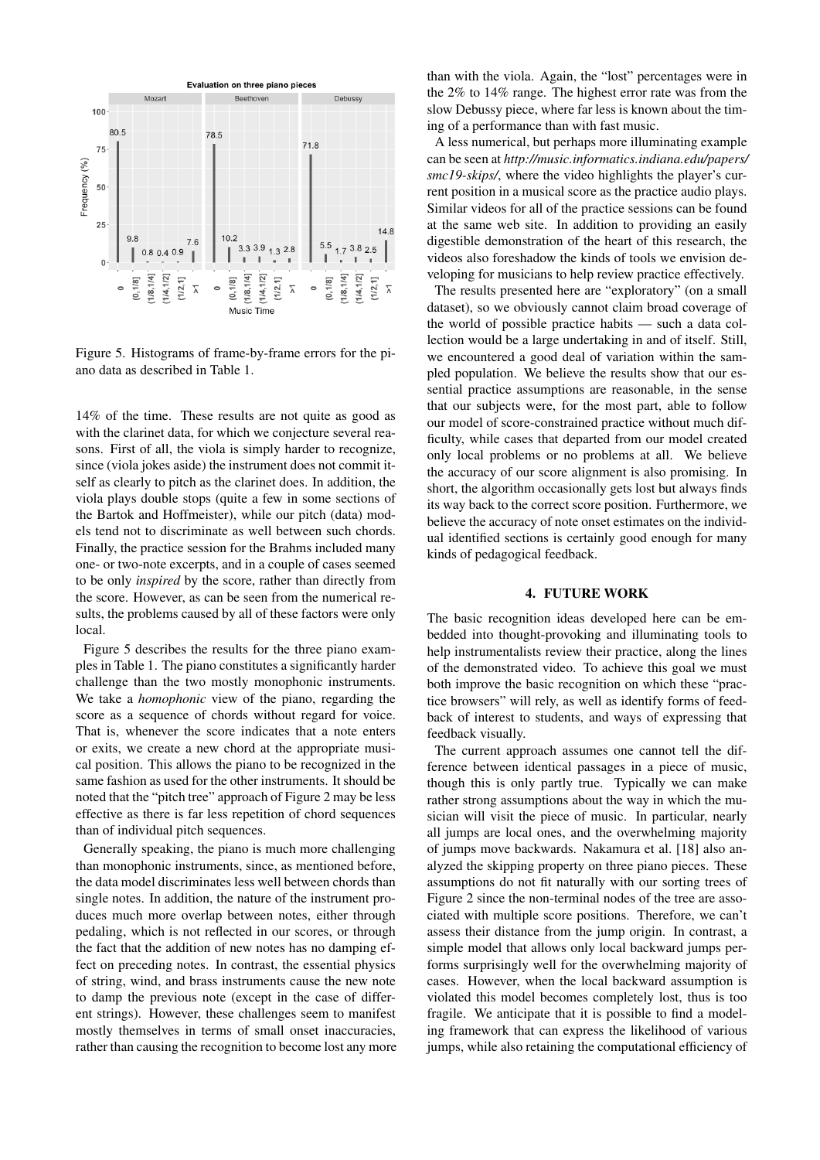<span id="page-5-0"></span>

Figure 5. Histograms of frame-by-frame errors for the piano data as described in Table [1.](#page-3-1)

14% of the time. These results are not quite as good as with the clarinet data, for which we conjecture several reasons. First of all, the viola is simply harder to recognize, since (viola jokes aside) the instrument does not commit itself as clearly to pitch as the clarinet does. In addition, the viola plays double stops (quite a few in some sections of the Bartok and Hoffmeister), while our pitch (data) models tend not to discriminate as well between such chords. Finally, the practice session for the Brahms included many one- or two-note excerpts, and in a couple of cases seemed to be only *inspired* by the score, rather than directly from the score. However, as can be seen from the numerical results, the problems caused by all of these factors were only local.

Figure [5](#page-5-0) describes the results for the three piano examples in Table [1.](#page-3-1) The piano constitutes a significantly harder challenge than the two mostly monophonic instruments. We take a *homophonic* view of the piano, regarding the score as a sequence of chords without regard for voice. That is, whenever the score indicates that a note enters or exits, we create a new chord at the appropriate musical position. This allows the piano to be recognized in the same fashion as used for the other instruments. It should be noted that the "pitch tree" approach of Figure [2](#page-3-0) may be less effective as there is far less repetition of chord sequences than of individual pitch sequences.

Generally speaking, the piano is much more challenging than monophonic instruments, since, as mentioned before, the data model discriminates less well between chords than single notes. In addition, the nature of the instrument produces much more overlap between notes, either through pedaling, which is not reflected in our scores, or through the fact that the addition of new notes has no damping effect on preceding notes. In contrast, the essential physics of string, wind, and brass instruments cause the new note to damp the previous note (except in the case of different strings). However, these challenges seem to manifest mostly themselves in terms of small onset inaccuracies, rather than causing the recognition to become lost any more than with the viola. Again, the "lost" percentages were in the 2% to 14% range. The highest error rate was from the slow Debussy piece, where far less is known about the timing of a performance than with fast music.

A less numerical, but perhaps more illuminating example can be seen at *[http://music.informatics.indiana.edu/papers/](http://music.informatics.indiana.edu/papers/smc19-skips/) [smc19-skips/](http://music.informatics.indiana.edu/papers/smc19-skips/)*, where the video highlights the player's current position in a musical score as the practice audio plays. Similar videos for all of the practice sessions can be found at the same web site. In addition to providing an easily digestible demonstration of the heart of this research, the videos also foreshadow the kinds of tools we envision developing for musicians to help review practice effectively.

The results presented here are "exploratory" (on a small dataset), so we obviously cannot claim broad coverage of the world of possible practice habits — such a data collection would be a large undertaking in and of itself. Still, we encountered a good deal of variation within the sampled population. We believe the results show that our essential practice assumptions are reasonable, in the sense that our subjects were, for the most part, able to follow our model of score-constrained practice without much difficulty, while cases that departed from our model created only local problems or no problems at all. We believe the accuracy of our score alignment is also promising. In short, the algorithm occasionally gets lost but always finds its way back to the correct score position. Furthermore, we believe the accuracy of note onset estimates on the individual identified sections is certainly good enough for many kinds of pedagogical feedback.

# 4. FUTURE WORK

The basic recognition ideas developed here can be embedded into thought-provoking and illuminating tools to help instrumentalists review their practice, along the lines of the demonstrated video. To achieve this goal we must both improve the basic recognition on which these "practice browsers" will rely, as well as identify forms of feedback of interest to students, and ways of expressing that feedback visually.

The current approach assumes one cannot tell the difference between identical passages in a piece of music, though this is only partly true. Typically we can make rather strong assumptions about the way in which the musician will visit the piece of music. In particular, nearly all jumps are local ones, and the overwhelming majority of jumps move backwards. Nakamura et al. [\[18\]](#page-6-11) also analyzed the skipping property on three piano pieces. These assumptions do not fit naturally with our sorting trees of Figure [2](#page-3-0) since the non-terminal nodes of the tree are associated with multiple score positions. Therefore, we can't assess their distance from the jump origin. In contrast, a simple model that allows only local backward jumps performs surprisingly well for the overwhelming majority of cases. However, when the local backward assumption is violated this model becomes completely lost, thus is too fragile. We anticipate that it is possible to find a modeling framework that can express the likelihood of various jumps, while also retaining the computational efficiency of